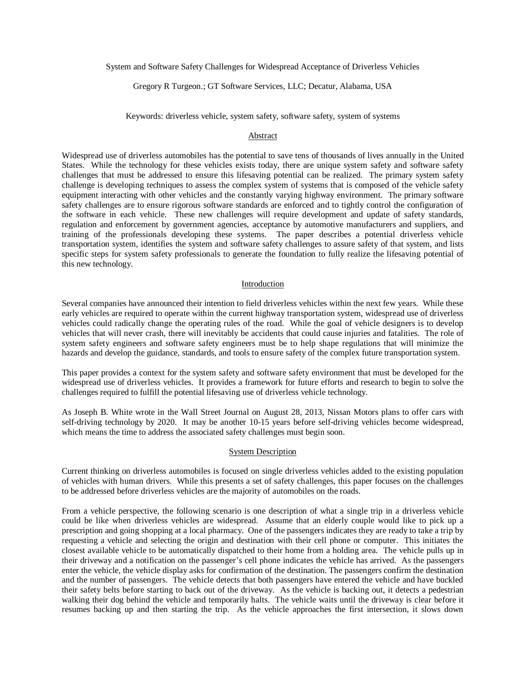System and Software Safety Challenges for Widespread Acceptance of Driverless Vehicles

Gregory R Turgeon.; GT Software Services, LLC; Decatur, Alabama, USA

Keywords: driverless vehicle, system safety, software safety, system of systems

#### Abstract

Widespread use of driverless automobiles has the potential to save tens of thousands of lives annually in the United States. While the technology for these vehicles exists today, there are unique system safety and software safety challenges that must be addressed to ensure this lifesaving potential can be realized. The primary system safety challenge is developing techniques to assess the complex system of systems that is composed of the vehicle safety equipment interacting with other vehicles and the constantly varying highway environment. The primary software safety challenges are to ensure rigorous software standards are enforced and to tightly control the configuration of the software in each vehicle. These new challenges will require development and update of safety standards, regulation and enforcement by government agencies, acceptance by automotive manufacturers and suppliers, and training of the professionals developing these systems. The paper describes a potential driverless vehicle transportation system, identifies the system and software safety challenges to assure safety of that system, and lists specific steps for system safety professionals to generate the foundation to fully realize the lifesaving potential of this new technology.

#### Introduction

Several companies have announced their intention to field driverless vehicles within the next few years. While these early vehicles are required to operate within the current highway transportation system, widespread use of driverless vehicles could radically change the operating rules of the road. While the goal of vehicle designers is to develop vehicles that will never crash, there will inevitably be accidents that could cause injuries and fatalities. The role of system safety engineers and software safety engineers must be to help shape regulations that will minimize the hazards and develop the guidance, standards, and tools to ensure safety of the complex future transportation system.

This paper provides a context for the system safety and software safety environment that must be developed for the widespread use of driverless vehicles. It provides a framework for future efforts and research to begin to solve the challenges required to fulfill the potential lifesaving use of driverless vehicle technology.

As Joseph B. White wrote in the Wall Street Journal on August 28, 2013, Nissan Motors plans to offer cars with self-driving technology by 2020. It may be another 10-15 years before self-driving vehicles become widespread, which means the time to address the associated safety challenges must begin soon.

#### System Description

Current thinking on driverless automobiles is focused on single driverless vehicles added to the existing population of vehicles with human drivers. While this presents a set of safety challenges, this paper focuses on the challenges to be addressed before driverless vehicles are the majority of automobiles on the roads.

From a vehicle perspective, the following scenario is one description of what a single trip in a driverless vehicle could be like when driverless vehicles are widespread. Assume that an elderly couple would like to pick up a prescription and going shopping at a local pharmacy. One of the passengers indicates they are ready to take a trip by requesting a vehicle and selecting the origin and destination with their cell phone or computer. This initiates the closest available vehicle to be automatically dispatched to their home from a holding area. The vehicle pulls up in their driveway and a notification on the passenger's cell phone indicates the vehicle has arrived. As the passengers enter the vehicle, the vehicle display asks for confirmation of the destination. The passengers confirm the destination and the number of passengers. The vehicle detects that both passengers have entered the vehicle and have buckled their safety belts before starting to back out of the driveway. As the vehicle is backing out, it detects a pedestrian walking their dog behind the vehicle and temporarily halts. The vehicle waits until the driveway is clear before it resumes backing up and then starting the trip. As the vehicle approaches the first intersection, it slows down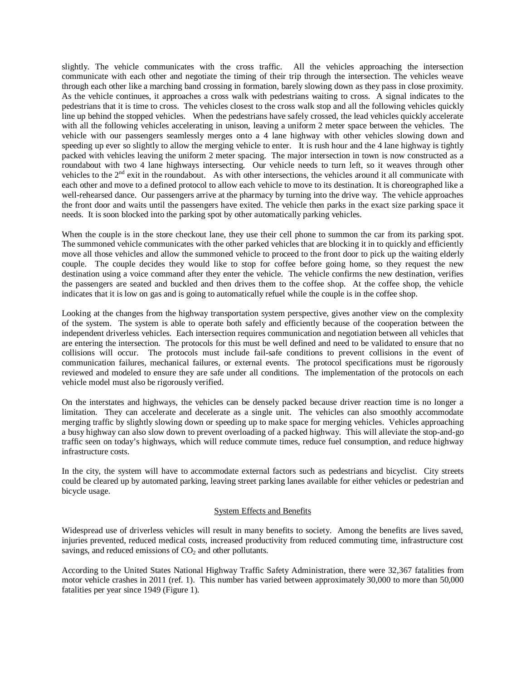slightly. The vehicle communicates with the cross traffic. All the vehicles approaching the intersection communicate with each other and negotiate the timing of their trip through the intersection. The vehicles weave through each other like a marching band crossing in formation, barely slowing down as they pass in close proximity. As the vehicle continues, it approaches a cross walk with pedestrians waiting to cross. A signal indicates to the pedestrians that it is time to cross. The vehicles closest to the cross walk stop and all the following vehicles quickly line up behind the stopped vehicles. When the pedestrians have safely crossed, the lead vehicles quickly accelerate with all the following vehicles accelerating in unison, leaving a uniform 2 meter space between the vehicles. The vehicle with our passengers seamlessly merges onto a 4 lane highway with other vehicles slowing down and speeding up ever so slightly to allow the merging vehicle to enter. It is rush hour and the 4 lane highway is tightly packed with vehicles leaving the uniform 2 meter spacing. The major intersection in town is now constructed as a roundabout with two 4 lane highways intersecting. Our vehicle needs to turn left, so it weaves through other vehicles to the  $2<sup>nd</sup>$  exit in the roundabout. As with other intersections, the vehicles around it all communicate with each other and move to a defined protocol to allow each vehicle to move to its destination. It is choreographed like a well-rehearsed dance. Our passengers arrive at the pharmacy by turning into the drive way. The vehicle approaches the front door and waits until the passengers have exited. The vehicle then parks in the exact size parking space it needs. It is soon blocked into the parking spot by other automatically parking vehicles.

When the couple is in the store checkout lane, they use their cell phone to summon the car from its parking spot. The summoned vehicle communicates with the other parked vehicles that are blocking it in to quickly and efficiently move all those vehicles and allow the summoned vehicle to proceed to the front door to pick up the waiting elderly couple. The couple decides they would like to stop for coffee before going home, so they request the new destination using a voice command after they enter the vehicle. The vehicle confirms the new destination, verifies the passengers are seated and buckled and then drives them to the coffee shop. At the coffee shop, the vehicle indicates that it is low on gas and is going to automatically refuel while the couple is in the coffee shop.

Looking at the changes from the highway transportation system perspective, gives another view on the complexity of the system. The system is able to operate both safely and efficiently because of the cooperation between the independent driverless vehicles. Each intersection requires communication and negotiation between all vehicles that are entering the intersection. The protocols for this must be well defined and need to be validated to ensure that no collisions will occur. The protocols must include fail-safe conditions to prevent collisions in the event of communication failures, mechanical failures, or external events. The protocol specifications must be rigorously reviewed and modeled to ensure they are safe under all conditions. The implementation of the protocols on each vehicle model must also be rigorously verified.

On the interstates and highways, the vehicles can be densely packed because driver reaction time is no longer a limitation. They can accelerate and decelerate as a single unit. The vehicles can also smoothly accommodate merging traffic by slightly slowing down or speeding up to make space for merging vehicles. Vehicles approaching a busy highway can also slow down to prevent overloading of a packed highway. This will alleviate the stop-and-go traffic seen on today's highways, which will reduce commute times, reduce fuel consumption, and reduce highway infrastructure costs.

In the city, the system will have to accommodate external factors such as pedestrians and bicyclist. City streets could be cleared up by automated parking, leaving street parking lanes available for either vehicles or pedestrian and bicycle usage.

## System Effects and Benefits

Widespread use of driverless vehicles will result in many benefits to society. Among the benefits are lives saved, injuries prevented, reduced medical costs, increased productivity from reduced commuting time, infrastructure cost savings, and reduced emissions of  $CO<sub>2</sub>$  and other pollutants.

According to the United States National Highway Traffic Safety Administration, there were 32,367 fatalities from motor vehicle crashes in 2011 (ref. 1). This number has varied between approximately 30,000 to more than 50,000 fatalities per year since 1949 (Figure 1).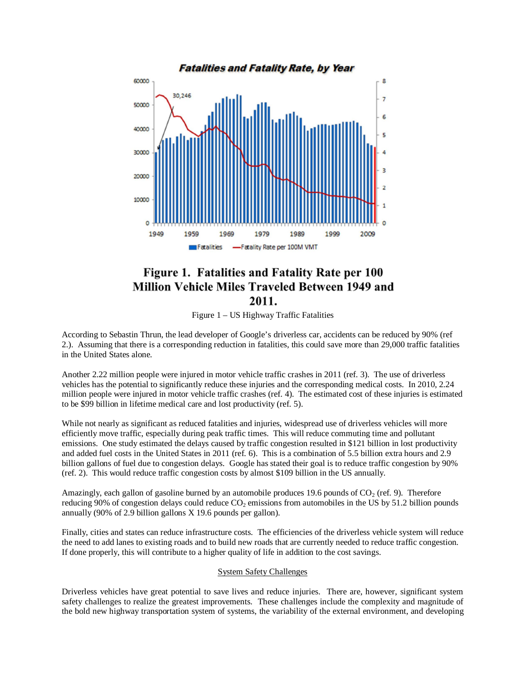

# Figure 1. Fatalities and Fatality Rate per 100 **Million Vehicle Miles Traveled Between 1949 and** 2011.

Figure 1 – US Highway Traffic Fatalities

According to Sebastin Thrun, the lead developer of Google's driverless car, accidents can be reduced by 90% (ref 2.). Assuming that there is a corresponding reduction in fatalities, this could save more than 29,000 traffic fatalities in the United States alone.

Another 2.22 million people were injured in motor vehicle traffic crashes in 2011 (ref. 3). The use of driverless vehicles has the potential to significantly reduce these injuries and the corresponding medical costs. In 2010, 2.24 million people were injured in motor vehicle traffic crashes (ref. 4). The estimated cost of these injuries is estimated to be \$99 billion in lifetime medical care and lost productivity (ref. 5).

While not nearly as significant as reduced fatalities and injuries, widespread use of driverless vehicles will more efficiently move traffic, especially during peak traffic times. This will reduce commuting time and pollutant emissions. One study estimated the delays caused by traffic congestion resulted in \$121 billion in lost productivity and added fuel costs in the United States in 2011 (ref. 6). This is a combination of 5.5 billion extra hours and 2.9 billion gallons of fuel due to congestion delays. Google has stated their goal is to reduce traffic congestion by 90% (ref. 2). This would reduce traffic congestion costs by almost \$109 billion in the US annually.

Amazingly, each gallon of gasoline burned by an automobile produces 19.6 pounds of  $CO<sub>2</sub>$  (ref. 9). Therefore reducing 90% of congestion delays could reduce  $CO<sub>2</sub>$  emissions from automobiles in the US by 51.2 billion pounds annually (90% of 2.9 billion gallons X 19.6 pounds per gallon).

Finally, cities and states can reduce infrastructure costs. The efficiencies of the driverless vehicle system will reduce the need to add lanes to existing roads and to build new roads that are currently needed to reduce traffic congestion. If done properly, this will contribute to a higher quality of life in addition to the cost savings.

### System Safety Challenges

Driverless vehicles have great potential to save lives and reduce injuries. There are, however, significant system safety challenges to realize the greatest improvements. These challenges include the complexity and magnitude of the bold new highway transportation system of systems, the variability of the external environment, and developing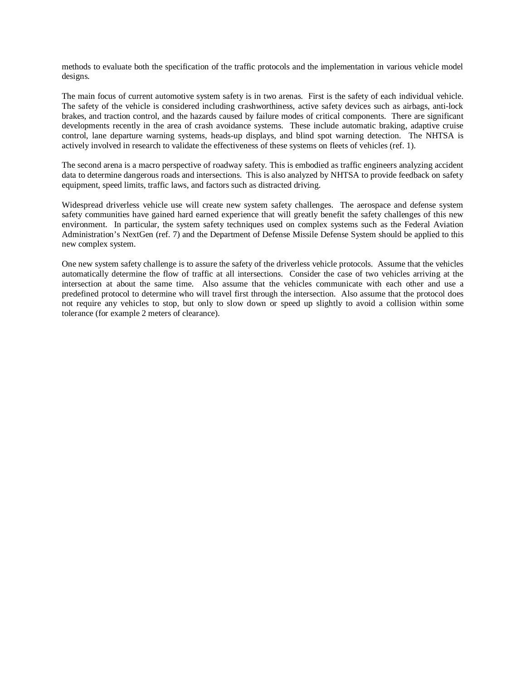methods to evaluate both the specification of the traffic protocols and the implementation in various vehicle model designs.

The main focus of current automotive system safety is in two arenas. First is the safety of each individual vehicle. The safety of the vehicle is considered including crashworthiness, active safety devices such as airbags, anti-lock brakes, and traction control, and the hazards caused by failure modes of critical components. There are significant developments recently in the area of crash avoidance systems. These include automatic braking, adaptive cruise control, lane departure warning systems, heads-up displays, and blind spot warning detection. The NHTSA is actively involved in research to validate the effectiveness of these systems on fleets of vehicles (ref. 1).

The second arena is a macro perspective of roadway safety. This is embodied as traffic engineers analyzing accident data to determine dangerous roads and intersections. This is also analyzed by NHTSA to provide feedback on safety equipment, speed limits, traffic laws, and factors such as distracted driving.

Widespread driverless vehicle use will create new system safety challenges. The aerospace and defense system safety communities have gained hard earned experience that will greatly benefit the safety challenges of this new environment. In particular, the system safety techniques used on complex systems such as the Federal Aviation Administration's NextGen (ref. 7) and the Department of Defense Missile Defense System should be applied to this new complex system.

One new system safety challenge is to assure the safety of the driverless vehicle protocols. Assume that the vehicles automatically determine the flow of traffic at all intersections. Consider the case of two vehicles arriving at the intersection at about the same time. Also assume that the vehicles communicate with each other and use a predefined protocol to determine who will travel first through the intersection. Also assume that the protocol does not require any vehicles to stop, but only to slow down or speed up slightly to avoid a collision within some tolerance (for example 2 meters of clearance).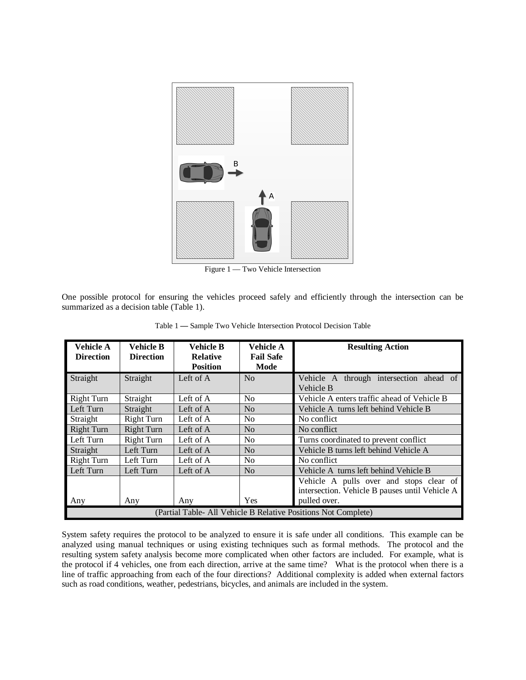

Figure 1 — Two Vehicle Intersection

One possible protocol for ensuring the vehicles proceed safely and efficiently through the intersection can be summarized as a decision table (Table 1).

| <b>Vehicle A</b><br><b>Direction</b>                           | <b>Vehicle B</b><br><b>Direction</b> | <b>Vehicle B</b><br><b>Relative</b><br><b>Position</b> | Vehicle A<br><b>Fail Safe</b><br>Mode | <b>Resulting Action</b>                                                                                   |
|----------------------------------------------------------------|--------------------------------------|--------------------------------------------------------|---------------------------------------|-----------------------------------------------------------------------------------------------------------|
| Straight                                                       | Straight                             | Left of A                                              | N <sub>0</sub>                        | Vehicle A through intersection ahead of<br>Vehicle B                                                      |
| <b>Right Turn</b>                                              | Straight                             | Left of A                                              | N <sub>0</sub>                        | Vehicle A enters traffic ahead of Vehicle B                                                               |
| Left Turn                                                      | Straight                             | Left of A                                              | N <sub>o</sub>                        | Vehicle A turns left behind Vehicle B                                                                     |
| Straight                                                       | <b>Right Turn</b>                    | Left of A                                              | N <sub>o</sub>                        | No conflict                                                                                               |
| <b>Right Turn</b>                                              | <b>Right Turn</b>                    | Left of A                                              | N <sub>o</sub>                        | No conflict                                                                                               |
| Left Turn                                                      | <b>Right Turn</b>                    | Left of A                                              | N <sub>0</sub>                        | Turns coordinated to prevent conflict                                                                     |
| Straight                                                       | Left Turn                            | Left of A                                              | No                                    | Vehicle B turns left behind Vehicle A                                                                     |
| <b>Right Turn</b>                                              | Left Turn                            | Left of A                                              | N <sub>0</sub>                        | No conflict                                                                                               |
| Left Turn                                                      | Left Turn                            | Left of A                                              | N <sub>0</sub>                        | Vehicle A turns left behind Vehicle B                                                                     |
| Any                                                            | Any                                  | Any                                                    | Yes                                   | Vehicle A pulls over and stops clear of<br>intersection. Vehicle B pauses until Vehicle A<br>pulled over. |
| (Partial Table- All Vehicle B Relative Positions Not Complete) |                                      |                                                        |                                       |                                                                                                           |

Table 1 **—** Sample Two Vehicle Intersection Protocol Decision Table

System safety requires the protocol to be analyzed to ensure it is safe under all conditions. This example can be analyzed using manual techniques or using existing techniques such as formal methods. The protocol and the resulting system safety analysis become more complicated when other factors are included. For example, what is the protocol if 4 vehicles, one from each direction, arrive at the same time? What is the protocol when there is a line of traffic approaching from each of the four directions? Additional complexity is added when external factors such as road conditions, weather, pedestrians, bicycles, and animals are included in the system.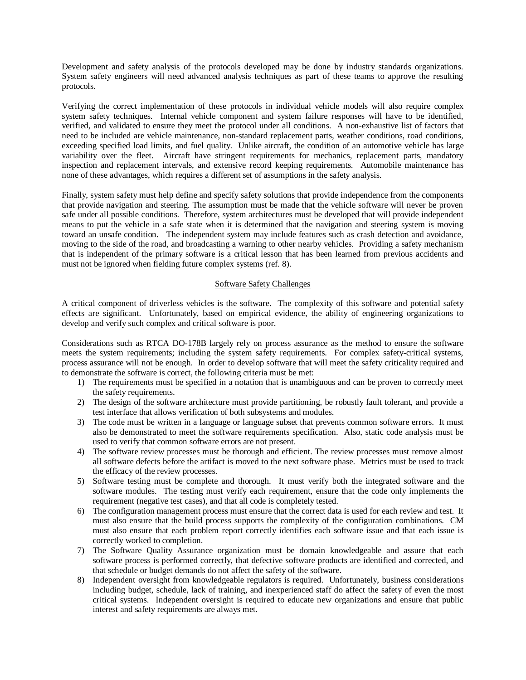Development and safety analysis of the protocols developed may be done by industry standards organizations. System safety engineers will need advanced analysis techniques as part of these teams to approve the resulting protocols.

Verifying the correct implementation of these protocols in individual vehicle models will also require complex system safety techniques. Internal vehicle component and system failure responses will have to be identified, verified, and validated to ensure they meet the protocol under all conditions. A non-exhaustive list of factors that need to be included are vehicle maintenance, non-standard replacement parts, weather conditions, road conditions, exceeding specified load limits, and fuel quality. Unlike aircraft, the condition of an automotive vehicle has large variability over the fleet. Aircraft have stringent requirements for mechanics, replacement parts, mandatory inspection and replacement intervals, and extensive record keeping requirements. Automobile maintenance has none of these advantages, which requires a different set of assumptions in the safety analysis.

Finally, system safety must help define and specify safety solutions that provide independence from the components that provide navigation and steering. The assumption must be made that the vehicle software will never be proven safe under all possible conditions. Therefore, system architectures must be developed that will provide independent means to put the vehicle in a safe state when it is determined that the navigation and steering system is moving toward an unsafe condition. The independent system may include features such as crash detection and avoidance, moving to the side of the road, and broadcasting a warning to other nearby vehicles. Providing a safety mechanism that is independent of the primary software is a critical lesson that has been learned from previous accidents and must not be ignored when fielding future complex systems (ref. 8).

# Software Safety Challenges

A critical component of driverless vehicles is the software. The complexity of this software and potential safety effects are significant. Unfortunately, based on empirical evidence, the ability of engineering organizations to develop and verify such complex and critical software is poor.

Considerations such as RTCA DO-178B largely rely on process assurance as the method to ensure the software meets the system requirements; including the system safety requirements. For complex safety-critical systems, process assurance will not be enough. In order to develop software that will meet the safety criticality required and to demonstrate the software is correct, the following criteria must be met:

- 1) The requirements must be specified in a notation that is unambiguous and can be proven to correctly meet the safety requirements.
- 2) The design of the software architecture must provide partitioning, be robustly fault tolerant, and provide a test interface that allows verification of both subsystems and modules.
- 3) The code must be written in a language or language subset that prevents common software errors. It must also be demonstrated to meet the software requirements specification. Also, static code analysis must be used to verify that common software errors are not present.
- 4) The software review processes must be thorough and efficient. The review processes must remove almost all software defects before the artifact is moved to the next software phase. Metrics must be used to track the efficacy of the review processes.
- 5) Software testing must be complete and thorough. It must verify both the integrated software and the software modules. The testing must verify each requirement, ensure that the code only implements the requirement (negative test cases), and that all code is completely tested.
- 6) The configuration management process must ensure that the correct data is used for each review and test. It must also ensure that the build process supports the complexity of the configuration combinations. CM must also ensure that each problem report correctly identifies each software issue and that each issue is correctly worked to completion.
- 7) The Software Quality Assurance organization must be domain knowledgeable and assure that each software process is performed correctly, that defective software products are identified and corrected, and that schedule or budget demands do not affect the safety of the software.
- 8) Independent oversight from knowledgeable regulators is required. Unfortunately, business considerations including budget, schedule, lack of training, and inexperienced staff do affect the safety of even the most critical systems. Independent oversight is required to educate new organizations and ensure that public interest and safety requirements are always met.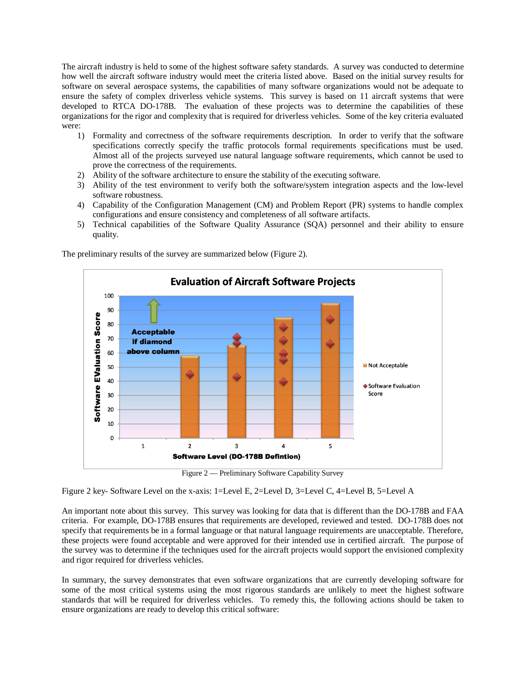The aircraft industry is held to some of the highest software safety standards. A survey was conducted to determine how well the aircraft software industry would meet the criteria listed above. Based on the initial survey results for software on several aerospace systems, the capabilities of many software organizations would not be adequate to ensure the safety of complex driverless vehicle systems. This survey is based on 11 aircraft systems that were developed to RTCA DO-178B. The evaluation of these projects was to determine the capabilities of these organizations for the rigor and complexity that is required for driverless vehicles. Some of the key criteria evaluated were:

- 1) Formality and correctness of the software requirements description. In order to verify that the software specifications correctly specify the traffic protocols formal requirements specifications must be used. Almost all of the projects surveyed use natural language software requirements, which cannot be used to prove the correctness of the requirements.
- 2) Ability of the software architecture to ensure the stability of the executing software.
- 3) Ability of the test environment to verify both the software/system integration aspects and the low-level software robustness.
- 4) Capability of the Configuration Management (CM) and Problem Report (PR) systems to handle complex configurations and ensure consistency and completeness of all software artifacts.
- 5) Technical capabilities of the Software Quality Assurance (SQA) personnel and their ability to ensure quality.



The preliminary results of the survey are summarized below (Figure 2).

Figure 2 — Preliminary Software Capability Survey

Figure 2 key- Software Level on the x-axis: 1=Level E, 2=Level D, 3=Level C, 4=Level B, 5=Level A

An important note about this survey. This survey was looking for data that is different than the DO-178B and FAA criteria. For example, DO-178B ensures that requirements are developed, reviewed and tested. DO-178B does not specify that requirements be in a formal language or that natural language requirements are unacceptable. Therefore, these projects were found acceptable and were approved for their intended use in certified aircraft. The purpose of the survey was to determine if the techniques used for the aircraft projects would support the envisioned complexity and rigor required for driverless vehicles.

In summary, the survey demonstrates that even software organizations that are currently developing software for some of the most critical systems using the most rigorous standards are unlikely to meet the highest software standards that will be required for driverless vehicles. To remedy this, the following actions should be taken to ensure organizations are ready to develop this critical software: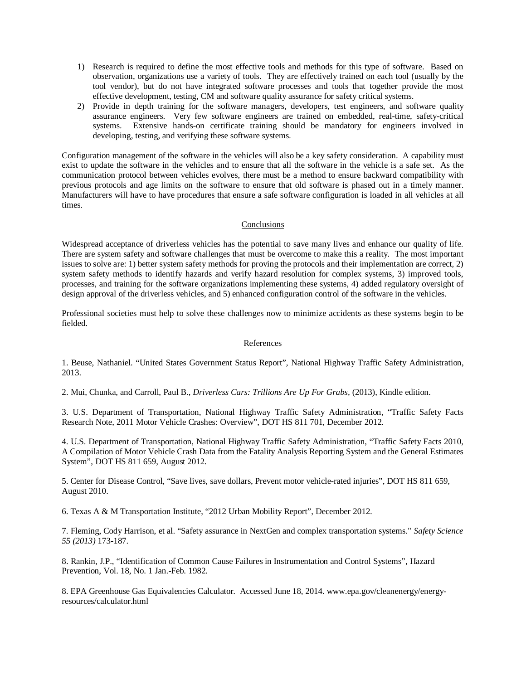- 1) Research is required to define the most effective tools and methods for this type of software. Based on observation, organizations use a variety of tools. They are effectively trained on each tool (usually by the tool vendor), but do not have integrated software processes and tools that together provide the most effective development, testing, CM and software quality assurance for safety critical systems.
- 2) Provide in depth training for the software managers, developers, test engineers, and software quality assurance engineers. Very few software engineers are trained on embedded, real-time, safety-critical systems. Extensive hands-on certificate training should be mandatory for engineers involved in developing, testing, and verifying these software systems.

Configuration management of the software in the vehicles will also be a key safety consideration. A capability must exist to update the software in the vehicles and to ensure that all the software in the vehicle is a safe set. As the communication protocol between vehicles evolves, there must be a method to ensure backward compatibility with previous protocols and age limits on the software to ensure that old software is phased out in a timely manner. Manufacturers will have to have procedures that ensure a safe software configuration is loaded in all vehicles at all times.

# **Conclusions**

Widespread acceptance of driverless vehicles has the potential to save many lives and enhance our quality of life. There are system safety and software challenges that must be overcome to make this a reality. The most important issues to solve are: 1) better system safety methods for proving the protocols and their implementation are correct, 2) system safety methods to identify hazards and verify hazard resolution for complex systems, 3) improved tools, processes, and training for the software organizations implementing these systems, 4) added regulatory oversight of design approval of the driverless vehicles, and 5) enhanced configuration control of the software in the vehicles.

Professional societies must help to solve these challenges now to minimize accidents as these systems begin to be fielded.

## References

1. Beuse, Nathaniel. "United States Government Status Report", National Highway Traffic Safety Administration, 2013.

2. Mui, Chunka, and Carroll, Paul B., *Driverless Cars: Trillions Are Up For Grabs,* (2013), Kindle edition.

3. U.S. Department of Transportation, National Highway Traffic Safety Administration, "Traffic Safety Facts Research Note, 2011 Motor Vehicle Crashes: Overview", DOT HS 811 701, December 2012.

4. U.S. Department of Transportation, National Highway Traffic Safety Administration, "Traffic Safety Facts 2010, A Compilation of Motor Vehicle Crash Data from the Fatality Analysis Reporting System and the General Estimates System", DOT HS 811 659, August 2012.

5. Center for Disease Control, "Save lives, save dollars, Prevent motor vehicle-rated injuries", DOT HS 811 659, August 2010.

6. Texas A & M Transportation Institute, "2012 Urban Mobility Report", December 2012.

7. Fleming, Cody Harrison, et al. "Safety assurance in NextGen and complex transportation systems." *Safety Science 55 (2013)* 173-187.

8. Rankin, J.P., "Identification of Common Cause Failures in Instrumentation and Control Systems", Hazard Prevention, Vol. 18, No. 1 Jan.-Feb. 1982.

8. EPA Greenhouse Gas Equivalencies Calculator. Accessed June 18, 2014. www.epa.gov/cleanenergy/energyresources/calculator.html